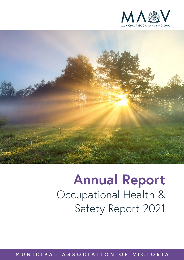



# **Annual Report** Occupational Health & Safety Report 2021

**MUNICIPAL ASSOCIATION OF VICTORIA**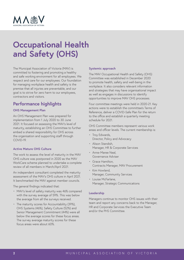

# **Occupational Health and Safety (OHS)**

The Municipal Association of Victoria (MAV) is committed to fostering and promoting a healthy and safe working environment for all employees. We respect and care for our employees. Our foundation for managing workplace health and safety is the premise that all injuries are preventable, and our goal is to strive for zero harm to our employees, contractors and visitors.

## **Performance highlights**

#### **OHS Management Plan**

An OHS Management Plan was prepared for implementation from 1 July 2020 to 30 June 2021. It focused on assessing the MAV's level of maturity, establishing an OHS Committee to further embed a shared responsibility for OHS across the organisation and supporting staff through COVID-19.

#### **Active Mature OHS Culture**

The work to assess the level of maturity in the MAV OHS culture was postponed in 2020 as the MAV WorkCare scheme planned to undertake a complete review of all members in March/April 2021.

An independent consultant completed the maturity assessment of the MAV's OHS culture in April 2021. It benchmarked the MAV against member councils.

The general findings indicated that:

- MAV's level of safety maturity was 46% compared with the survey average of 59%. This was below the average from all the surveys received.
- The maturity scores for Accountability (39%), OHS Systems (46%), Safety Culture (52%) and Senior Management Commitment (44%) were all below the average scores for these focus areas. The survey average maturity scores for these focus areas were about 60%.

#### **Systemic approach**

The MAV Occupational Health and Safety (OHS) Committee was established in December 2020 to promote health, safety and well-being in the workplace. It also considers relevant information and strategies that may have organisational impact as well as engages in discussions to identify opportunities to improve MAV OHS processes.

Four committee meetings were held in 2020-21. Key actions were to establish the committee's Terms of Reference, deliver a COVID-Safe Plan for the return to the office and establish a quarterly meeting schedule for 2021.

OHS Committee members represent various work areas and officer levels. The current membership is:

- Troy Edwards, Director, Policy and Advocacy
- Alison Standish, Manager, HR & Corporate Services
- Anne-Maree Neal, Governance Adviser
- Grace Hamilton, Contracts Manager, MAV Procurement
- Kim Howland, Manager, Community Services
- Louise McFarlane, Manager, Strategic Communications

#### **Leadership**

Managers continue to monitor OHS issues with their team and report any concerns back to the Manager, HR and Corporate Services the Executive Team and/or the PHS Committee.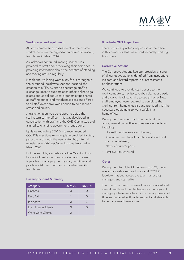

#### **Workplaces and equipment**

All staff completed an assessment of their home workplace when the organisation moved to working from home in March 2020.

As lockdown continued, more guidance was provided to staff about reviewing their home set-up, providing information about the benefits of standing and moving around regularly.

Health and wellbeing were a key focus throughout the extended lockdowns. Actions included the creation of a TEAMS site to encourage staff to exchange ideas to support each other; online yoga, pilates and social activities; ergonomic tips shared at staff meetings; and mindfulness sessions offered to all staff over a five-week period to help reduce stress and anxiety.

A transition plan was developed to guide the staff return to the office - this was developed in consultation with staff and the OHS Committee and aligned to changing government regulations.

Updates regarding COVID and recommended COVIDSafe actions were regularly provided to staff, particularly through the new fortnightly internal newsletter – *MAV Insider,* which was launched in March 2021.

In June and July, a one-hour online 'Working from Home' OHS refresher was provided and covered topics from managing the physical, cognitive, and psychosocial risks that may occur when working from home.

#### **Hazard/Incident Summary**

| Category            | 2019-20 | 2020-21 |
|---------------------|---------|---------|
| Hazards             |         |         |
| First Aid           |         |         |
| Incidents           |         | 3       |
| Lost Time Incidents |         |         |
| Work Care Claims    |         |         |

#### **Quarterly OHS Inspection**

There was one quarterly inspection of the office in this period as staff were predominantly working from home.

#### **Corrective Actions**

The Corrective Actions Register provides a listing of all corrective actions identified from inspections, incident and hazard reports, risk assessments or observations.

We continued to provide staff access to their work computers, monitors, keyboards, mouse pads and ergonomic office chairs to use at home. New staff employed were required to complete the working from home checklist and provided with the necessary equipment to work safely in a home office.

During the time when staff could attend the office, several corrective actions were undertaken including:

- Fire extinguisher services checked,
- Annual test and tag of monitors and electrical cords undertaken,
- New defibrillator pads
- First-aid kits renewed.

#### **Other**

During the intermittent lockdowns in 2021, there was a noticeable sense of work and COVID/ lockdown fatigue across the team - affecting managers and staff alike.

The Executive Team discussed concerns about staff mental health and the challenges for managers of managing a team remotely for such a long period of time and initiated actions to support and strategies to help address these issues.